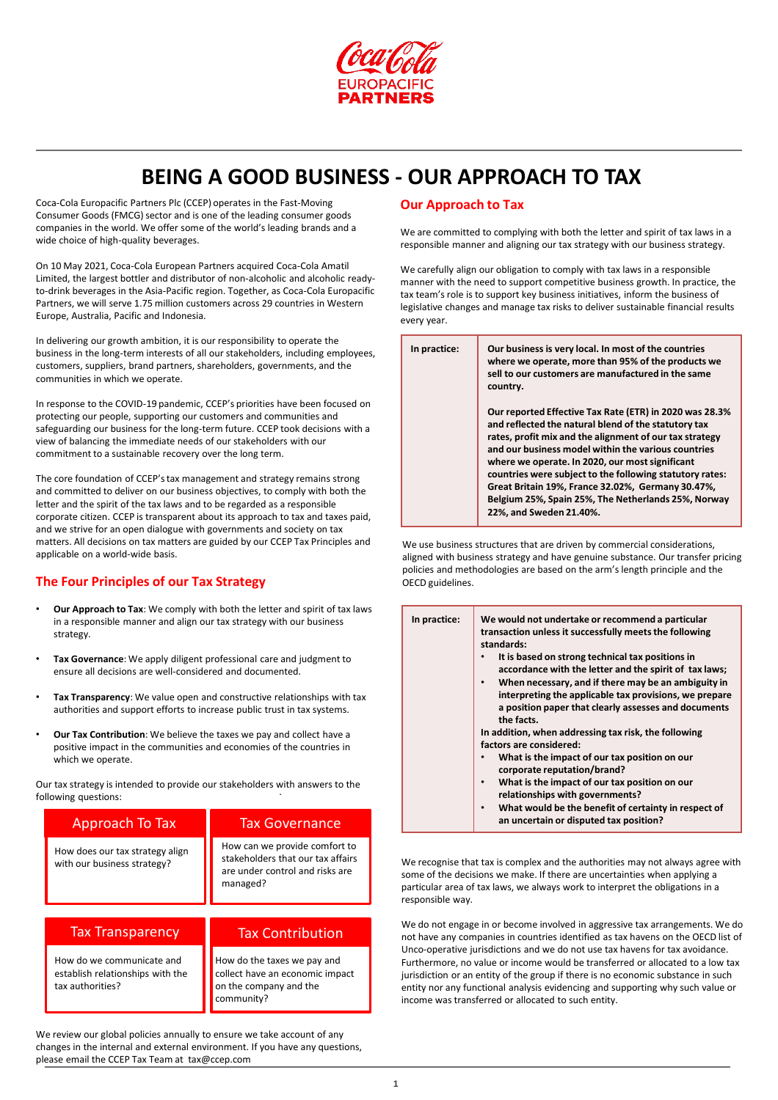

**BEING A GOOD BUSINESS - OUR APPROACH TO TAX**

Coca-Cola Europacific Partners Plc (CCEP) operates in the Fast-Moving Consumer Goods (FMCG) sector and is one of the leading consumer goods companies in the world. We offer some of the world's leading brands and a wide choice of high-quality beverages.

On 10 May 2021, Coca-Cola European Partners acquired Coca-Cola Amatil Limited, the largest bottler and distributor of non-alcoholic and alcoholic readyto-drink beverages in the Asia-Pacific region. Together, as Coca-Cola Europacific Partners, we will serve 1.75 million customers across 29 countries in Western Europe, Australia, Pacific and Indonesia.

In delivering our growth ambition, it is our responsibility to operate the business in the long-term interests of all our stakeholders, including employees, customers, suppliers, brand partners, shareholders, governments, and the communities in which we operate.

In response to the COVID-19 pandemic, CCEP's priorities have been focused on protecting our people, supporting our customers and communities and safeguarding our business for the long-term future. CCEP took decisions with a view of balancing the immediate needs of our stakeholders with our commitment to a sustainable recovery over the long term.

The core foundation of CCEP's tax management and strategy remains strong and committed to deliver on our business objectives, to comply with both the letter and the spirit of the tax laws and to be regarded as a responsible corporate citizen. CCEP is transparent about its approach to tax and taxes paid, and we strive for an open dialogue with governments and society on tax matters. All decisions on tax matters are guided by our CCEP Tax Principles and applicable on a world-wide basis.

# **The Four Principles of our Tax Strategy**

- **Our Approach to Tax**: We comply with both the letter and spirit of tax laws in a responsible manner and align our tax strategy with our business strategy.
- **Tax Governance**: We apply diligent professional care and judgment to ensure all decisions are well-considered and documented.
- **Tax Transparency**: We value open and constructive relationships with tax authorities and support efforts to increase public trust in tax systems.
- **Our Tax Contribution**: We believe the taxes we pay and collect have a positive impact in the communities and economies of the countries in which we operate.

Our tax strategy is intended to provide our stakeholders with answers to the . following questions:

| Approach To Tax                                                                   | <b>Tax Governance</b>                                                                                             |
|-----------------------------------------------------------------------------------|-------------------------------------------------------------------------------------------------------------------|
| How does our tax strategy align<br>with our business strategy?                    | How can we provide comfort to<br>stakeholders that our tax affairs<br>are under control and risks are<br>managed? |
|                                                                                   |                                                                                                                   |
| <b>Tax Transparency</b>                                                           | <b>Tax Contribution</b>                                                                                           |
| How do we communicate and<br>establish relationships with the<br>tax authorities? | How do the taxes we pay and<br>collect have an economic impact<br>on the company and the<br>community?            |

We review our global policies annually to ensure we take account of any changes in the internal and external environment. If you have any questions, please email the CCEP Tax Team at tax@ccep.com

## **Our Approach to Tax**

We are committed to complying with both the letter and spirit of tax laws in a responsible manner and aligning our tax strategy with our business strategy.

We carefully align our obligation to comply with tax laws in a responsible manner with the need to support competitive business growth. In practice, the tax team's role is to support key business initiatives, inform the business of legislative changes and manage tax risks to deliver sustainable financial results every year.

| In practice: | Our business is very local. In most of the countries<br>where we operate, more than 95% of the products we<br>sell to our customers are manufactured in the same<br>country.                                                                                                                                                                                                                                                                                                            |
|--------------|-----------------------------------------------------------------------------------------------------------------------------------------------------------------------------------------------------------------------------------------------------------------------------------------------------------------------------------------------------------------------------------------------------------------------------------------------------------------------------------------|
|              | Our reported Effective Tax Rate (ETR) in 2020 was 28.3%<br>and reflected the natural blend of the statutory tax<br>rates, profit mix and the alignment of our tax strategy<br>and our business model within the various countries<br>where we operate. In 2020, our most significant<br>countries were subject to the following statutory rates:<br>Great Britain 19%, France 32.02%, Germany 30.47%,<br>Belgium 25%, Spain 25%, The Netherlands 25%, Norway<br>22%, and Sweden 21.40%. |

We use business structures that are driven by commercial considerations, aligned with business strategy and have genuine substance. Our transfer pricing policies and methodologies are based on the arm's length principle and the OECD guidelines.

| In practice: | We would not undertake or recommend a particular                                                           |
|--------------|------------------------------------------------------------------------------------------------------------|
|              | transaction unless it successfully meets the following<br>standards:                                       |
|              |                                                                                                            |
|              | It is based on strong technical tax positions in<br>accordance with the letter and the spirit of tax laws; |
|              |                                                                                                            |
|              | When necessary, and if there may be an ambiguity in<br>$\bullet$                                           |
|              | interpreting the applicable tax provisions, we prepare                                                     |
|              | a position paper that clearly assesses and documents                                                       |
|              | the facts.                                                                                                 |
|              | In addition, when addressing tax risk, the following                                                       |
|              | factors are considered:                                                                                    |
|              | What is the impact of our tax position on our                                                              |
|              | corporate reputation/brand?                                                                                |
|              | What is the impact of our tax position on our<br>٠                                                         |
|              | relationships with governments?                                                                            |
|              | What would be the benefit of certainty in respect of<br>٠                                                  |
|              |                                                                                                            |

**an uncertain or disputed tax position?**

We recognise that tax is complex and the authorities may not always agree with some of the decisions we make. If there are uncertainties when applying a particular area of tax laws, we always work to interpret the obligations in a responsible way.

We do not engage in or become involved in aggressive tax arrangements. We do not have any companies in countries identified as tax havens on the OECD list of Unco-operative jurisdictions and we do not use tax havens for tax avoidance. Furthermore, no value or income would be transferred or allocated to a low tax jurisdiction or an entity of the group if there is no economic substance in such entity nor any functional analysis evidencing and supporting why such value or income was transferred or allocated to such entity.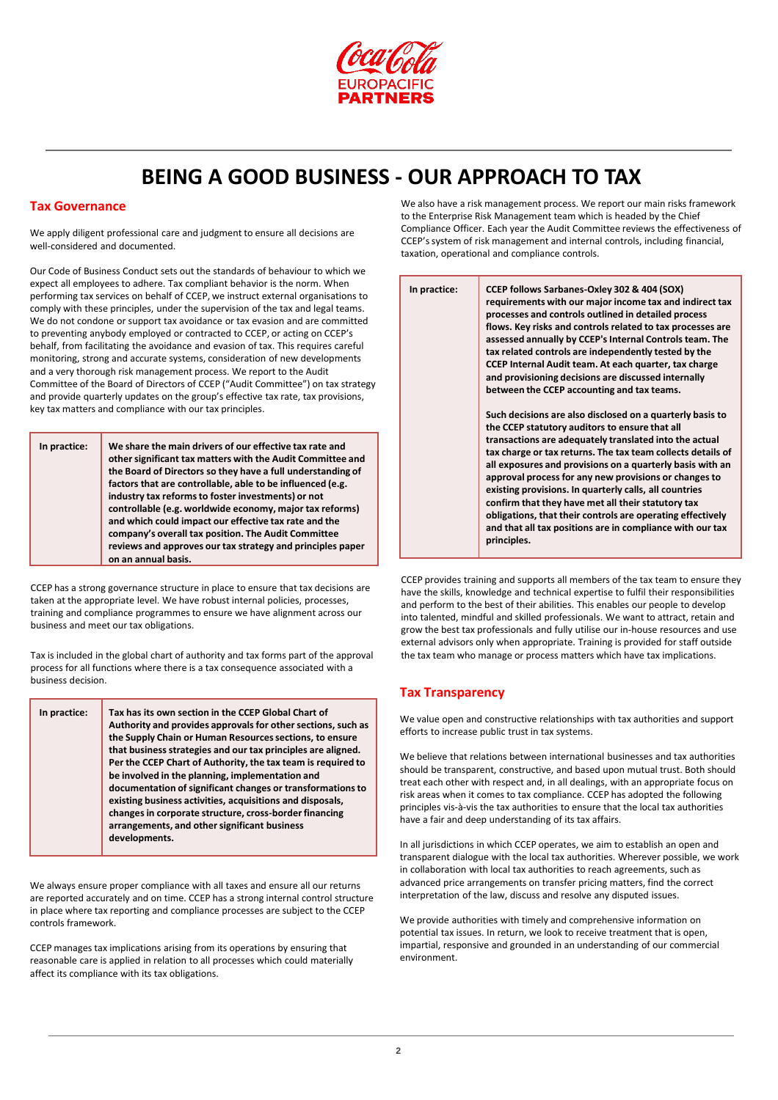

**BEING A GOOD BUSINESS - OUR APPROACH TO TAX**

### **Tax Governance**

We apply diligent professional care and judgment to ensure all decisions are well-considered and documented.

Our Code of Business Conduct sets out the standards of behaviour to which we expect all employees to adhere. Tax compliant behavior is the norm. When performing tax services on behalf of CCEP, we instruct external organisations to comply with these principles, under the supervision of the tax and legal teams. We do not condone or support tax avoidance or tax evasion and are committed to preventing anybody employed or contracted to CCEP, or acting on CCEP's behalf, from facilitating the avoidance and evasion of tax. This requires careful monitoring, strong and accurate systems, consideration of new developments and a very thorough risk management process. We report to the Audit Committee of the Board of Directors of CCEP ("Audit Committee") on tax strategy and provide quarterly updates on the group's effective tax rate, tax provisions, key tax matters and compliance with our tax principles.

**In practice: We share the main drivers of our effective tax rate and other significant tax matters with the Audit Committee and the Board of Directors so they have a full understanding of factors that are controllable, able to be influenced (e.g. industry tax reforms to foster investments) or not controllable (e.g. worldwide economy, major tax reforms) and which could impact our effective tax rate and the company's overall tax position. The Audit Committee reviews and approves our tax strategy and principles paper on an annual basis.**

CCEP has a strong governance structure in place to ensure that tax decisions are taken at the appropriate level. We have robust internal policies, processes, training and compliance programmes to ensure we have alignment across our business and meet our tax obligations.

Tax is included in the global chart of authority and tax forms part of the approval process for all functions where there is a tax consequence associated with a business decision.

| the Supply Chain or Human Resources sections, to ensure<br>that business strategies and our tax principles are aligned.<br>be involved in the planning, implementation and<br>existing business activities, acquisitions and disposals,<br>changes in corporate structure, cross-border financing<br>arrangements, and other significant business<br>developments. |  | In practice: | Tax has its own section in the CCEP Global Chart of<br>Authority and provides approvals for other sections, such as<br>Per the CCEP Chart of Authority, the tax team is required to<br>documentation of significant changes or transformations to |
|--------------------------------------------------------------------------------------------------------------------------------------------------------------------------------------------------------------------------------------------------------------------------------------------------------------------------------------------------------------------|--|--------------|---------------------------------------------------------------------------------------------------------------------------------------------------------------------------------------------------------------------------------------------------|
|--------------------------------------------------------------------------------------------------------------------------------------------------------------------------------------------------------------------------------------------------------------------------------------------------------------------------------------------------------------------|--|--------------|---------------------------------------------------------------------------------------------------------------------------------------------------------------------------------------------------------------------------------------------------|

We always ensure proper compliance with all taxes and ensure all our returns are reported accurately and on time. CCEP has a strong internal control structure in place where tax reporting and compliance processes are subject to the CCEP controls framework.

CCEP manages tax implications arising from its operations by ensuring that reasonable care is applied in relation to all processes which could materially affect its compliance with its tax obligations.

We also have a risk management process. We report our main risks framework to the Enterprise Risk Management team which is headed by the Chief Compliance Officer. Each year the Audit Committee reviews the effectiveness of CCEP's system of risk management and internal controls, including financial, taxation, operational and compliance controls.

| In practice: | CCEP follows Sarbanes-Oxley 302 & 404 (SOX)<br>requirements with our major income tax and indirect tax<br>processes and controls outlined in detailed process<br>flows. Key risks and controls related to tax processes are<br>assessed annually by CCEP's Internal Controls team. The<br>tax related controls are independently tested by the<br>CCEP Internal Audit team. At each quarter, tax charge<br>and provisioning decisions are discussed internally<br>between the CCEP accounting and tax teams.                                                                                                         |
|--------------|----------------------------------------------------------------------------------------------------------------------------------------------------------------------------------------------------------------------------------------------------------------------------------------------------------------------------------------------------------------------------------------------------------------------------------------------------------------------------------------------------------------------------------------------------------------------------------------------------------------------|
|              | Such decisions are also disclosed on a quarterly basis to<br>the CCEP statutory auditors to ensure that all<br>transactions are adequately translated into the actual<br>tax charge or tax returns. The tax team collects details of<br>all exposures and provisions on a quarterly basis with an<br>approval process for any new provisions or changes to<br>existing provisions. In quarterly calls, all countries<br>confirm that they have met all their statutory tax<br>obligations, that their controls are operating effectively<br>and that all tax positions are in compliance with our tax<br>principles. |

CCEP provides training and supports all members of the tax team to ensure they have the skills, knowledge and technical expertise to fulfil their responsibilities and perform to the best of their abilities. This enables our people to develop into talented, mindful and skilled professionals. We want to attract, retain and grow the best tax professionals and fully utilise our in-house resources and use external advisors only when appropriate. Training is provided for staff outside the tax team who manage or process matters which have tax implications.

## **Tax Transparency**

We value open and constructive relationships with tax authorities and support efforts to increase public trust in tax systems.

We believe that relations between international businesses and tax authorities should be transparent, constructive, and based upon mutual trust. Both should treat each other with respect and, in all dealings, with an appropriate focus on risk areas when it comes to tax compliance. CCEP has adopted the following principles vis-à-vis the tax authorities to ensure that the local tax authorities have a fair and deep understanding of its tax affairs.

In all jurisdictions in which CCEP operates, we aim to establish an open and transparent dialogue with the local tax authorities. Wherever possible, we work in collaboration with local tax authorities to reach agreements, such as advanced price arrangements on transfer pricing matters, find the correct interpretation of the law, discuss and resolve any disputed issues.

We provide authorities with timely and comprehensive information on potential tax issues. In return, we look to receive treatment that is open, impartial, responsive and grounded in an understanding of our commercial environment.